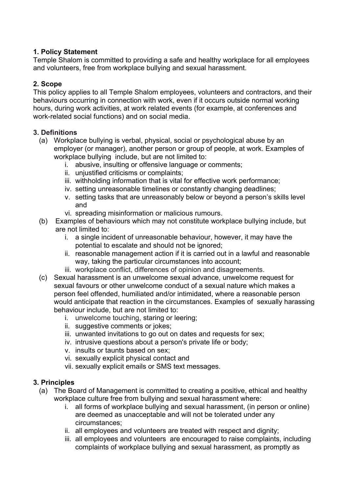### **1. Policy Statement**

Temple Shalom is committed to providing a safe and healthy workplace for all employees and volunteers, free from workplace bullying and sexual harassment.

## **2. Scope**

This policy applies to all Temple Shalom employees, volunteers and contractors, and their behaviours occurring in connection with work, even if it occurs outside normal working hours, during work activities, at work related events (for example, at conferences and work-related social functions) and on social media.

#### **3. Definitions**

- (a) Workplace bullying is verbal, physical, social or psychological abuse by an employer (or manager), another person or group of people, at work. Examples of workplace bullying include, but are not limited to:
	- i. abusive, insulting or offensive language or comments;
	- ii. unjustified criticisms or complaints;
	- iii. withholding information that is vital for effective work performance;
	- iv. setting unreasonable timelines or constantly changing deadlines;
	- v. setting tasks that are unreasonably below or beyond a person's skills level and
	- vi. spreading misinformation or malicious rumours.
- (b) Examples of behaviours which may not constitute workplace bullying include, but are not limited to:
	- i. a single incident of unreasonable behaviour, however, it may have the potential to escalate and should not be ignored;
	- ii. reasonable management action if it is carried out in a lawful and reasonable way, taking the particular circumstances into account;
	- iii. workplace conflict, differences of opinion and disagreements.
- (c) Sexual harassment is an unwelcome sexual advance, unwelcome request for sexual favours or other unwelcome conduct of a sexual nature which makes a person feel offended, humiliated and/or intimidated, where a reasonable person would anticipate that reaction in the circumstances. Examples of sexually harassing behaviour include, but are not limited to:
	- i. unwelcome touching, staring or leering;
	- ii. suggestive comments or jokes;
	- iii. unwanted invitations to go out on dates and requests for sex;
	- iv. intrusive questions about a person's private life or body;
	- v. insults or taunts based on sex;
	- vi. sexually explicit physical contact and
	- vii. sexually explicit emails or SMS text messages.

# **3. Principles**

- (a) The Board of Management is committed to creating a positive, ethical and healthy workplace culture free from bullying and sexual harassment where:
	- i. all forms of workplace bullying and sexual harassment, (in person or online) are deemed as unacceptable and will not be tolerated under any circumstances;
	- ii. all employees and volunteers are treated with respect and dignity;
	- iii. all employees and volunteers are encouraged to raise complaints, including complaints of workplace bullying and sexual harassment, as promptly as